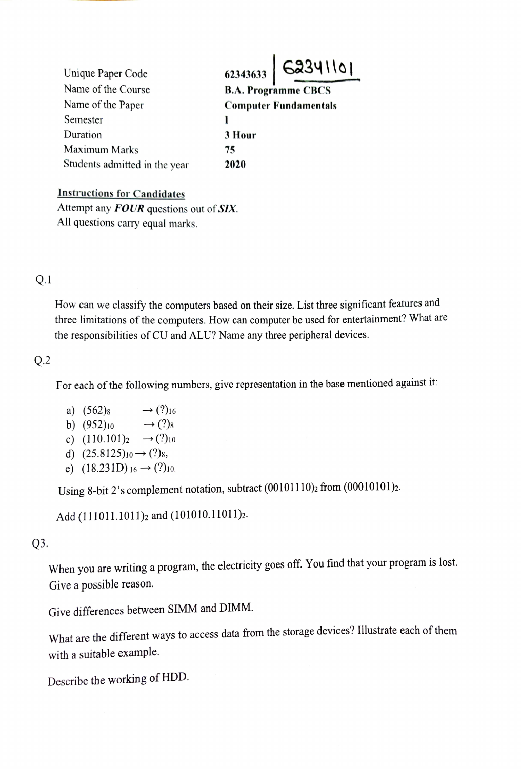| Unique Paper Code             |                              | $62343633$ 62341101 |
|-------------------------------|------------------------------|---------------------|
| Name of the Course            | <b>B.A. Programme CBCS</b>   |                     |
| Name of the Paper             | <b>Computer Fundamentals</b> |                     |
| Semester                      |                              |                     |
| Duration                      | 3 Hour                       |                     |
| Maximum Marks                 | 75                           |                     |
| Students admitted in the year | 2020                         |                     |

Instructions for Candidates

Attempt any FOUR questions out of SIX. All questions carry equal marks.

## Q.1

How can we classify the computers based on their size. List three significant features and three limitations of the computers. How can computer be used for entertainment? What are the responsibilities of CU and ALU? Name any three peripheral devices.

### Q.2

For each of the following numbers, give representation in the base mentioned against it

 $\rightarrow$  (?)<sub>16</sub>  $\rightarrow$  (?)<sub>8</sub> a) (562)s b)  $(952)_{10}$ c)  $(110.101)_2 \rightarrow (?)_{10}$ d)  $(25.8125)_{10} \rightarrow (?)_8$ , e)  $(18.231D)_{16} \rightarrow (?)_{10}$ .

Using 8-bit 2's complement notation, subtract  $(00101110)_2$  from  $(00010101)_2$ .

Add (111011.1011)<sub>2</sub> and (101010.11011)<sub>2</sub>.

# Q3.

When you are writing a program, the electricity goes off. You find that your program is lost. Give a possible reason.

Give differences between SIMM and DIMM.

What are the different ways to access data from the storage devices? lllustrate each of them with a suitable example.

Describe the working of HDD.